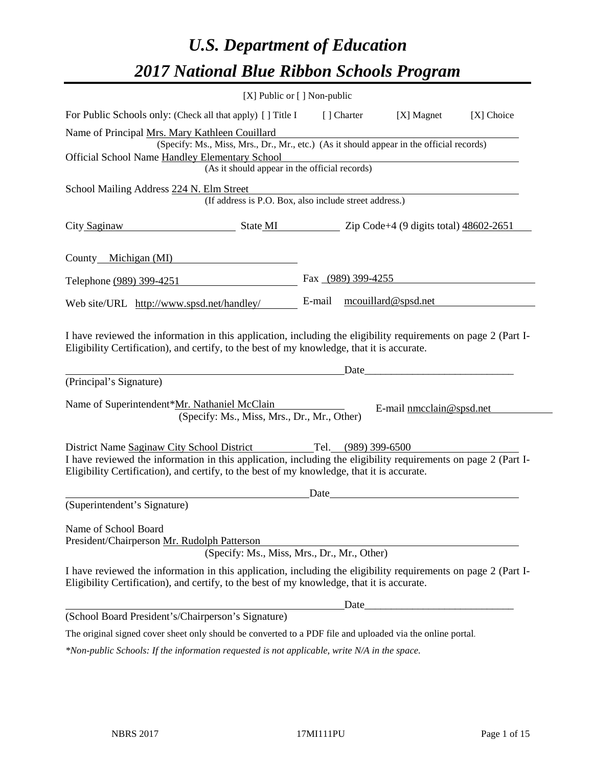# *U.S. Department of Education 2017 National Blue Ribbon Schools Program*

|                              |                                                                                                                                                                                                                                                            | [X] Public or [] Non-public                            |        |                     |                          |            |
|------------------------------|------------------------------------------------------------------------------------------------------------------------------------------------------------------------------------------------------------------------------------------------------------|--------------------------------------------------------|--------|---------------------|--------------------------|------------|
|                              | For Public Schools only: (Check all that apply) [] Title I                                                                                                                                                                                                 |                                                        |        | [ Charter           | [X] Magnet               | [X] Choice |
|                              | Name of Principal Mrs. Mary Kathleen Couillard<br>(Specify: Ms., Miss, Mrs., Dr., Mr., etc.) (As it should appear in the official records)<br><b>Official School Name Handley Elementary School</b>                                                        |                                                        |        |                     |                          |            |
|                              |                                                                                                                                                                                                                                                            | (As it should appear in the official records)          |        |                     |                          |            |
|                              | School Mailing Address 224 N. Elm Street                                                                                                                                                                                                                   | (If address is P.O. Box, also include street address.) |        |                     |                          |            |
| City Saginaw                 | $\frac{\text{State MI}}{\text{2ip Code}+4}$ (9 digits total) $\frac{48602-2651}{2000}$                                                                                                                                                                     |                                                        |        |                     |                          |            |
| County Michigan (MI)         |                                                                                                                                                                                                                                                            |                                                        |        |                     |                          |            |
| Telephone (989) 399-4251     |                                                                                                                                                                                                                                                            |                                                        |        | Fax (989) 399-4255  |                          |            |
|                              | Web site/URL http://www.spsd.net/handley/                                                                                                                                                                                                                  |                                                        | E-mail |                     | mcouillard@spsd.net      |            |
|                              | I have reviewed the information in this application, including the eligibility requirements on page 2 (Part I-<br>Eligibility Certification), and certify, to the best of my knowledge, that it is accurate.                                               |                                                        |        | Date                |                          |            |
| (Principal's Signature)      |                                                                                                                                                                                                                                                            |                                                        |        |                     |                          |            |
|                              | Name of Superintendent*Mr. Nathaniel McClain                                                                                                                                                                                                               | (Specify: Ms., Miss, Mrs., Dr., Mr., Other)            |        |                     | E-mail nmcclain@spsd.net |            |
|                              | District Name Saginaw City School District<br>I have reviewed the information in this application, including the eligibility requirements on page 2 (Part I-<br>Eligibility Certification), and certify, to the best of my knowledge, that it is accurate. |                                                        | Date   | Tel. (989) 399-6500 |                          |            |
| (Superintendent's Signature) |                                                                                                                                                                                                                                                            |                                                        |        |                     |                          |            |
| Name of School Board         | President/Chairperson Mr. Rudolph Patterson                                                                                                                                                                                                                | (Specify: Ms., Miss, Mrs., Dr., Mr., Other)            |        |                     |                          |            |
|                              | I have reviewed the information in this application, including the eligibility requirements on page 2 (Part I-<br>Eligibility Certification), and certify, to the best of my knowledge, that it is accurate.                                               |                                                        |        |                     |                          |            |
|                              |                                                                                                                                                                                                                                                            |                                                        |        | Date                |                          |            |
|                              | (School Board President's/Chairperson's Signature)                                                                                                                                                                                                         |                                                        |        |                     |                          |            |
|                              | The original signed cover sheet only should be converted to a PDF file and uploaded via the online portal.                                                                                                                                                 |                                                        |        |                     |                          |            |
|                              | *Non-public Schools: If the information requested is not applicable, write N/A in the space.                                                                                                                                                               |                                                        |        |                     |                          |            |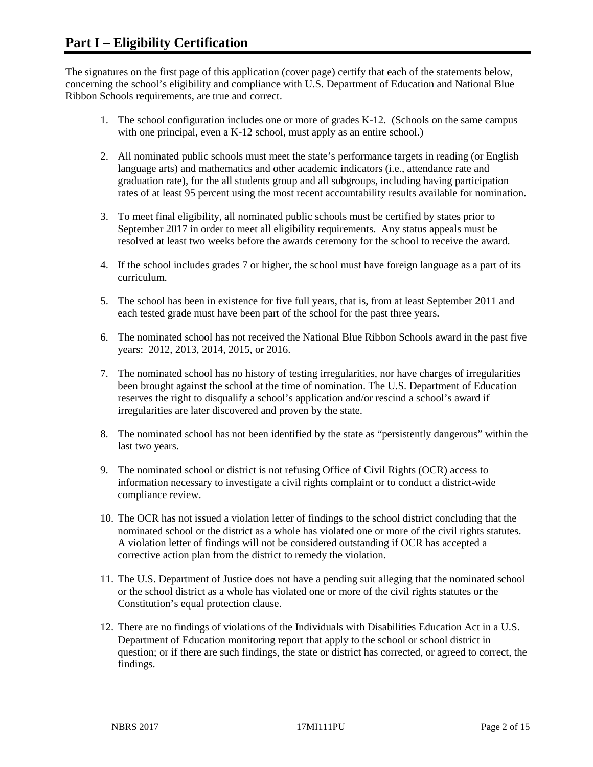The signatures on the first page of this application (cover page) certify that each of the statements below, concerning the school's eligibility and compliance with U.S. Department of Education and National Blue Ribbon Schools requirements, are true and correct.

- 1. The school configuration includes one or more of grades K-12. (Schools on the same campus with one principal, even a K-12 school, must apply as an entire school.)
- 2. All nominated public schools must meet the state's performance targets in reading (or English language arts) and mathematics and other academic indicators (i.e., attendance rate and graduation rate), for the all students group and all subgroups, including having participation rates of at least 95 percent using the most recent accountability results available for nomination.
- 3. To meet final eligibility, all nominated public schools must be certified by states prior to September 2017 in order to meet all eligibility requirements. Any status appeals must be resolved at least two weeks before the awards ceremony for the school to receive the award.
- 4. If the school includes grades 7 or higher, the school must have foreign language as a part of its curriculum.
- 5. The school has been in existence for five full years, that is, from at least September 2011 and each tested grade must have been part of the school for the past three years.
- 6. The nominated school has not received the National Blue Ribbon Schools award in the past five years: 2012, 2013, 2014, 2015, or 2016.
- 7. The nominated school has no history of testing irregularities, nor have charges of irregularities been brought against the school at the time of nomination. The U.S. Department of Education reserves the right to disqualify a school's application and/or rescind a school's award if irregularities are later discovered and proven by the state.
- 8. The nominated school has not been identified by the state as "persistently dangerous" within the last two years.
- 9. The nominated school or district is not refusing Office of Civil Rights (OCR) access to information necessary to investigate a civil rights complaint or to conduct a district-wide compliance review.
- 10. The OCR has not issued a violation letter of findings to the school district concluding that the nominated school or the district as a whole has violated one or more of the civil rights statutes. A violation letter of findings will not be considered outstanding if OCR has accepted a corrective action plan from the district to remedy the violation.
- 11. The U.S. Department of Justice does not have a pending suit alleging that the nominated school or the school district as a whole has violated one or more of the civil rights statutes or the Constitution's equal protection clause.
- 12. There are no findings of violations of the Individuals with Disabilities Education Act in a U.S. Department of Education monitoring report that apply to the school or school district in question; or if there are such findings, the state or district has corrected, or agreed to correct, the findings.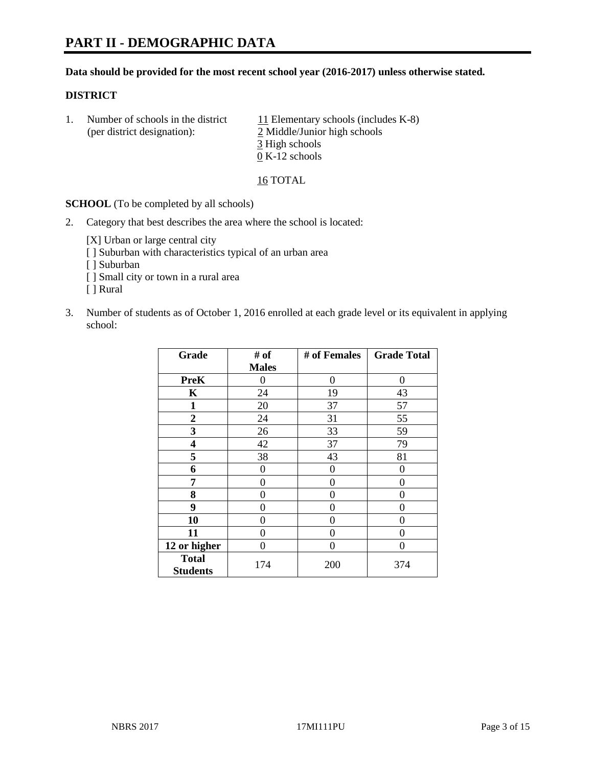# **PART II - DEMOGRAPHIC DATA**

#### **Data should be provided for the most recent school year (2016-2017) unless otherwise stated.**

#### **DISTRICT**

1. Number of schools in the district  $11$  Elementary schools (includes K-8) (per district designation): 2 Middle/Junior high schools 3 High schools 0 K-12 schools

16 TOTAL

**SCHOOL** (To be completed by all schools)

2. Category that best describes the area where the school is located:

[X] Urban or large central city [ ] Suburban with characteristics typical of an urban area

- [ ] Suburban
- [ ] Small city or town in a rural area
- [ ] Rural
- 3. Number of students as of October 1, 2016 enrolled at each grade level or its equivalent in applying school:

| Grade                           | # of         | # of Females | <b>Grade Total</b> |
|---------------------------------|--------------|--------------|--------------------|
|                                 | <b>Males</b> |              |                    |
| <b>PreK</b>                     | 0            | 0            | 0                  |
| K                               | 24           | 19           | 43                 |
| $\mathbf{1}$                    | 20           | 37           | 57                 |
| $\overline{2}$                  | 24           | 31           | 55                 |
| 3                               | 26           | 33           | 59                 |
| 4                               | 42           | 37           | 79                 |
| 5                               | 38           | 43           | 81                 |
| 6                               | $\theta$     | 0            | 0                  |
| 7                               | 0            | 0            | 0                  |
| 8                               | $\theta$     | 0            | 0                  |
| 9                               | 0            | 0            | 0                  |
| 10                              | $\theta$     | 0            | 0                  |
| 11                              | 0            | 0            | 0                  |
| 12 or higher                    | 0            | 0            | 0                  |
| <b>Total</b><br><b>Students</b> | 174          | 200          | 374                |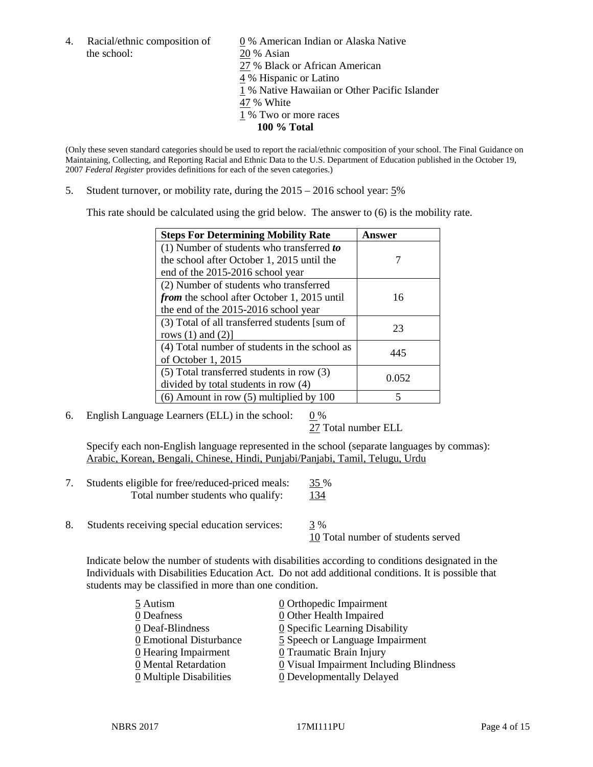the school: 20 % Asian

4. Racial/ethnic composition of  $\qquad 0 \%$  American Indian or Alaska Native 27 % Black or African American 4 % Hispanic or Latino 1 % Native Hawaiian or Other Pacific Islander 47 % White 1 % Two or more races **100 % Total**

(Only these seven standard categories should be used to report the racial/ethnic composition of your school. The Final Guidance on Maintaining, Collecting, and Reporting Racial and Ethnic Data to the U.S. Department of Education published in the October 19, 2007 *Federal Register* provides definitions for each of the seven categories.)

5. Student turnover, or mobility rate, during the 2015 – 2016 school year: 5%

This rate should be calculated using the grid below. The answer to (6) is the mobility rate.

| <b>Steps For Determining Mobility Rate</b>         | Answer |
|----------------------------------------------------|--------|
| (1) Number of students who transferred to          |        |
| the school after October 1, 2015 until the         |        |
| end of the 2015-2016 school year                   |        |
| (2) Number of students who transferred             |        |
| <i>from</i> the school after October 1, 2015 until | 16     |
| the end of the 2015-2016 school year               |        |
| (3) Total of all transferred students [sum of      | 23     |
| rows $(1)$ and $(2)$ ]                             |        |
| (4) Total number of students in the school as      | 445    |
| of October 1, 2015                                 |        |
| (5) Total transferred students in row (3)          |        |
| divided by total students in row (4)               | 0.052  |
| $(6)$ Amount in row $(5)$ multiplied by 100        | 5      |

6. English Language Learners (ELL) in the school:  $0\%$ 

27 Total number ELL

Specify each non-English language represented in the school (separate languages by commas): Arabic, Korean, Bengali, Chinese, Hindi, Punjabi/Panjabi, Tamil, Telugu, Urdu

| Students eligible for free/reduced-priced meals: | 35 % |
|--------------------------------------------------|------|
| Total number students who qualify:               | 134  |

8. Students receiving special education services: 3 %

10 Total number of students served

Indicate below the number of students with disabilities according to conditions designated in the Individuals with Disabilities Education Act. Do not add additional conditions. It is possible that students may be classified in more than one condition.

| 5 Autism                              | 0 Orthopedic Impairment                 |
|---------------------------------------|-----------------------------------------|
| 0 Deafness                            | 0 Other Health Impaired                 |
| 0 Deaf-Blindness                      | 0 Specific Learning Disability          |
| 0 Emotional Disturbance               | 5 Speech or Language Impairment         |
| 0 Hearing Impairment                  | 0 Traumatic Brain Injury                |
| 0 Mental Retardation                  | 0 Visual Impairment Including Blindness |
| $\underline{0}$ Multiple Disabilities | <b>0</b> Developmentally Delayed        |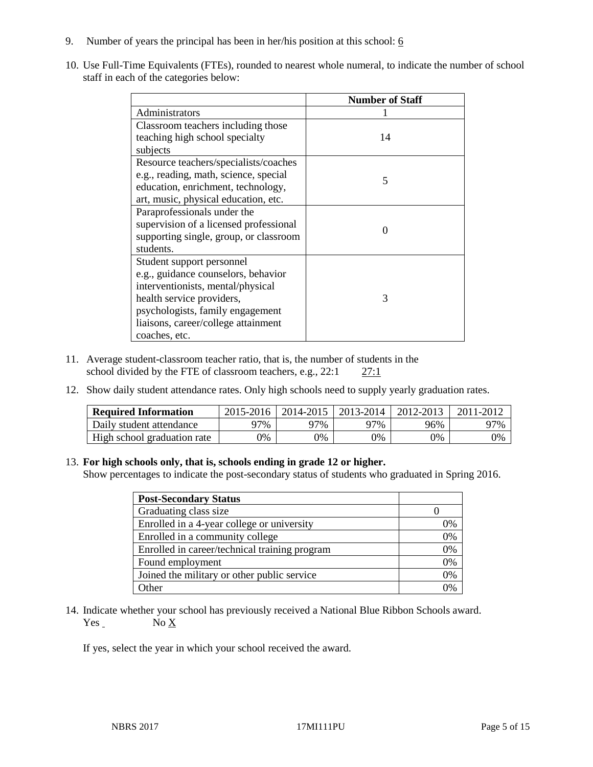- 9. Number of years the principal has been in her/his position at this school:  $6$
- 10. Use Full-Time Equivalents (FTEs), rounded to nearest whole numeral, to indicate the number of school staff in each of the categories below:

|                                        | <b>Number of Staff</b> |  |
|----------------------------------------|------------------------|--|
| Administrators                         |                        |  |
| Classroom teachers including those     |                        |  |
| teaching high school specialty         | 14                     |  |
| subjects                               |                        |  |
| Resource teachers/specialists/coaches  |                        |  |
| e.g., reading, math, science, special  | 5                      |  |
| education, enrichment, technology,     |                        |  |
| art, music, physical education, etc.   |                        |  |
| Paraprofessionals under the            |                        |  |
| supervision of a licensed professional | $\Omega$               |  |
| supporting single, group, or classroom |                        |  |
| students.                              |                        |  |
| Student support personnel              |                        |  |
| e.g., guidance counselors, behavior    |                        |  |
| interventionists, mental/physical      |                        |  |
| health service providers,              | 3                      |  |
| psychologists, family engagement       |                        |  |
| liaisons, career/college attainment    |                        |  |
| coaches, etc.                          |                        |  |

- 11. Average student-classroom teacher ratio, that is, the number of students in the school divided by the FTE of classroom teachers, e.g.,  $22:1$   $27:1$
- 12. Show daily student attendance rates. Only high schools need to supply yearly graduation rates.

| <b>Required Information</b> | 2015-2016 | 2014-2015 | 2013-2014 | 2012-2013 |     |
|-----------------------------|-----------|-----------|-----------|-----------|-----|
| Daily student attendance    | า7%       | 97%       | 97%       | 96%       | 97% |
| High school graduation rate | 0%        | 0%        | 0%        | 9%        | 0%  |

#### 13. **For high schools only, that is, schools ending in grade 12 or higher.**

Show percentages to indicate the post-secondary status of students who graduated in Spring 2016.

| <b>Post-Secondary Status</b>                  |    |
|-----------------------------------------------|----|
| Graduating class size                         |    |
| Enrolled in a 4-year college or university    | 0% |
| Enrolled in a community college               | 0% |
| Enrolled in career/technical training program | 0% |
| Found employment                              | 0% |
| Joined the military or other public service   | 0% |
| Other                                         | በ% |

14. Indicate whether your school has previously received a National Blue Ribbon Schools award.  $Yes$  No  $X$ 

If yes, select the year in which your school received the award.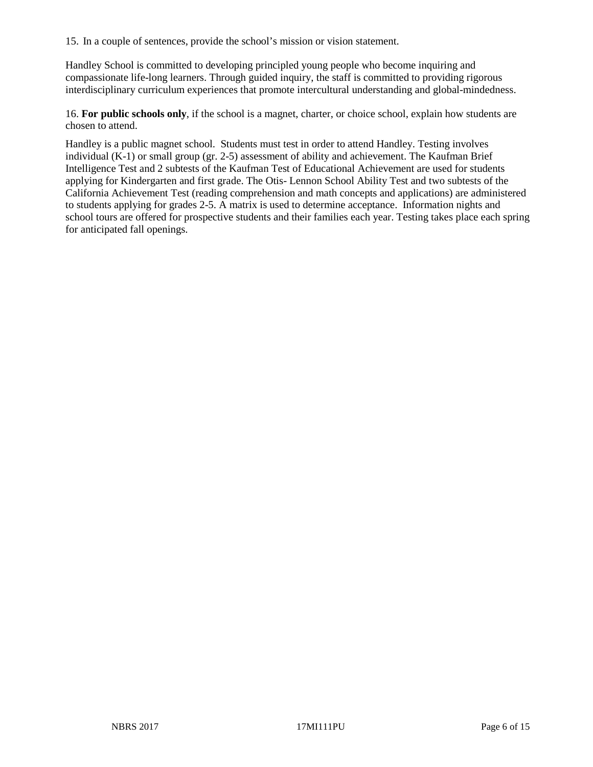15. In a couple of sentences, provide the school's mission or vision statement.

Handley School is committed to developing principled young people who become inquiring and compassionate life-long learners. Through guided inquiry, the staff is committed to providing rigorous interdisciplinary curriculum experiences that promote intercultural understanding and global-mindedness.

16. **For public schools only**, if the school is a magnet, charter, or choice school, explain how students are chosen to attend.

Handley is a public magnet school. Students must test in order to attend Handley. Testing involves individual (K-1) or small group (gr. 2-5) assessment of ability and achievement. The Kaufman Brief Intelligence Test and 2 subtests of the Kaufman Test of Educational Achievement are used for students applying for Kindergarten and first grade. The Otis- Lennon School Ability Test and two subtests of the California Achievement Test (reading comprehension and math concepts and applications) are administered to students applying for grades 2-5. A matrix is used to determine acceptance. Information nights and school tours are offered for prospective students and their families each year. Testing takes place each spring for anticipated fall openings.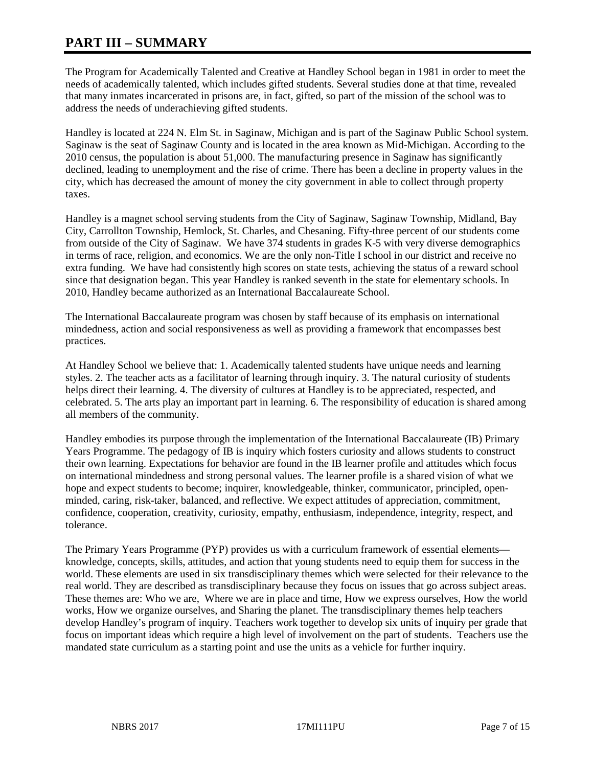# **PART III – SUMMARY**

The Program for Academically Talented and Creative at Handley School began in 1981 in order to meet the needs of academically talented, which includes gifted students. Several studies done at that time, revealed that many inmates incarcerated in prisons are, in fact, gifted, so part of the mission of the school was to address the needs of underachieving gifted students.

Handley is located at 224 N. Elm St. in Saginaw, Michigan and is part of the Saginaw Public School system. Saginaw is the seat of Saginaw County and is located in the area known as Mid-Michigan. According to the 2010 census, the population is about 51,000. The manufacturing presence in Saginaw has significantly declined, leading to unemployment and the rise of crime. There has been a decline in property values in the city, which has decreased the amount of money the city government in able to collect through property taxes.

Handley is a magnet school serving students from the City of Saginaw, Saginaw Township, Midland, Bay City, Carrollton Township, Hemlock, St. Charles, and Chesaning. Fifty-three percent of our students come from outside of the City of Saginaw. We have 374 students in grades K-5 with very diverse demographics in terms of race, religion, and economics. We are the only non-Title I school in our district and receive no extra funding. We have had consistently high scores on state tests, achieving the status of a reward school since that designation began. This year Handley is ranked seventh in the state for elementary schools. In 2010, Handley became authorized as an International Baccalaureate School.

The International Baccalaureate program was chosen by staff because of its emphasis on international mindedness, action and social responsiveness as well as providing a framework that encompasses best practices.

At Handley School we believe that: 1. Academically talented students have unique needs and learning styles. 2. The teacher acts as a facilitator of learning through inquiry. 3. The natural curiosity of students helps direct their learning. 4. The diversity of cultures at Handley is to be appreciated, respected, and celebrated. 5. The arts play an important part in learning. 6. The responsibility of education is shared among all members of the community.

Handley embodies its purpose through the implementation of the International Baccalaureate (IB) Primary Years Programme. The pedagogy of IB is inquiry which fosters curiosity and allows students to construct their own learning. Expectations for behavior are found in the IB learner profile and attitudes which focus on international mindedness and strong personal values. The learner profile is a shared vision of what we hope and expect students to become; inquirer, knowledgeable, thinker, communicator, principled, openminded, caring, risk-taker, balanced, and reflective. We expect attitudes of appreciation, commitment, confidence, cooperation, creativity, curiosity, empathy, enthusiasm, independence, integrity, respect, and tolerance.

The Primary Years Programme (PYP) provides us with a curriculum framework of essential elements knowledge, concepts, skills, attitudes, and action that young students need to equip them for success in the world. These elements are used in six transdisciplinary themes which were selected for their relevance to the real world. They are described as transdisciplinary because they focus on issues that go across subject areas. These themes are: Who we are, Where we are in place and time, How we express ourselves, How the world works, How we organize ourselves, and Sharing the planet. The transdisciplinary themes help teachers develop Handley's program of inquiry. Teachers work together to develop six units of inquiry per grade that focus on important ideas which require a high level of involvement on the part of students. Teachers use the mandated state curriculum as a starting point and use the units as a vehicle for further inquiry.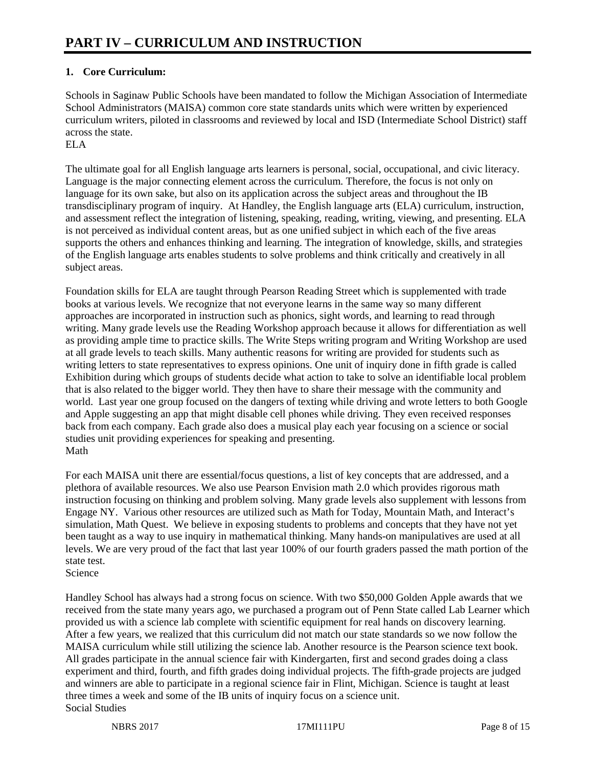# **1. Core Curriculum:**

Schools in Saginaw Public Schools have been mandated to follow the Michigan Association of Intermediate School Administrators (MAISA) common core state standards units which were written by experienced curriculum writers, piloted in classrooms and reviewed by local and ISD (Intermediate School District) staff across the state.

# ELA

The ultimate goal for all English language arts learners is personal, social, occupational, and civic literacy. Language is the major connecting element across the curriculum. Therefore, the focus is not only on language for its own sake, but also on its application across the subject areas and throughout the IB transdisciplinary program of inquiry. At Handley, the English language arts (ELA) curriculum, instruction, and assessment reflect the integration of listening, speaking, reading, writing, viewing, and presenting. ELA is not perceived as individual content areas, but as one unified subject in which each of the five areas supports the others and enhances thinking and learning. The integration of knowledge, skills, and strategies of the English language arts enables students to solve problems and think critically and creatively in all subject areas.

Foundation skills for ELA are taught through Pearson Reading Street which is supplemented with trade books at various levels. We recognize that not everyone learns in the same way so many different approaches are incorporated in instruction such as phonics, sight words, and learning to read through writing. Many grade levels use the Reading Workshop approach because it allows for differentiation as well as providing ample time to practice skills. The Write Steps writing program and Writing Workshop are used at all grade levels to teach skills. Many authentic reasons for writing are provided for students such as writing letters to state representatives to express opinions. One unit of inquiry done in fifth grade is called Exhibition during which groups of students decide what action to take to solve an identifiable local problem that is also related to the bigger world. They then have to share their message with the community and world. Last year one group focused on the dangers of texting while driving and wrote letters to both Google and Apple suggesting an app that might disable cell phones while driving. They even received responses back from each company. Each grade also does a musical play each year focusing on a science or social studies unit providing experiences for speaking and presenting. Math

For each MAISA unit there are essential/focus questions, a list of key concepts that are addressed, and a plethora of available resources. We also use Pearson Envision math 2.0 which provides rigorous math instruction focusing on thinking and problem solving. Many grade levels also supplement with lessons from Engage NY. Various other resources are utilized such as Math for Today, Mountain Math, and Interact's simulation, Math Quest. We believe in exposing students to problems and concepts that they have not yet been taught as a way to use inquiry in mathematical thinking. Many hands-on manipulatives are used at all levels. We are very proud of the fact that last year 100% of our fourth graders passed the math portion of the state test.

Science

Handley School has always had a strong focus on science. With two \$50,000 Golden Apple awards that we received from the state many years ago, we purchased a program out of Penn State called Lab Learner which provided us with a science lab complete with scientific equipment for real hands on discovery learning. After a few years, we realized that this curriculum did not match our state standards so we now follow the MAISA curriculum while still utilizing the science lab. Another resource is the Pearson science text book. All grades participate in the annual science fair with Kindergarten, first and second grades doing a class experiment and third, fourth, and fifth grades doing individual projects. The fifth-grade projects are judged and winners are able to participate in a regional science fair in Flint, Michigan. Science is taught at least three times a week and some of the IB units of inquiry focus on a science unit. Social Studies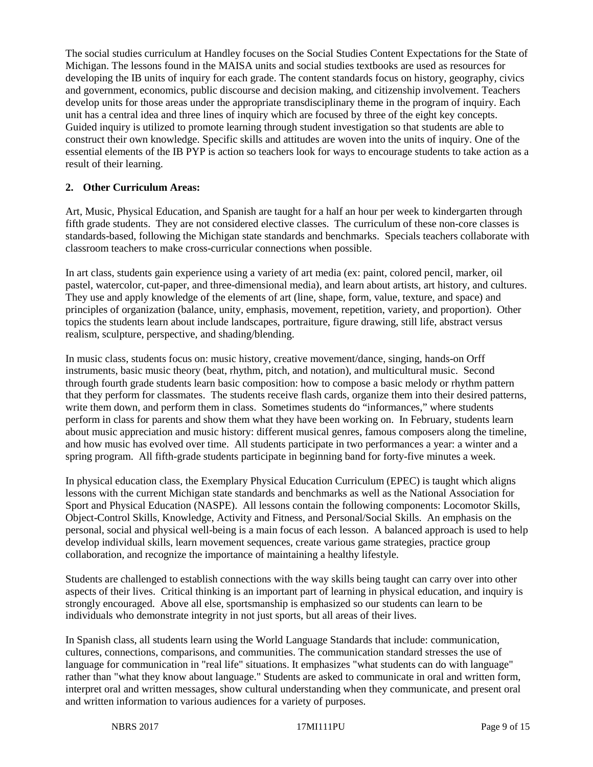The social studies curriculum at Handley focuses on the Social Studies Content Expectations for the State of Michigan. The lessons found in the MAISA units and social studies textbooks are used as resources for developing the IB units of inquiry for each grade. The content standards focus on history, geography, civics and government, economics, public discourse and decision making, and citizenship involvement. Teachers develop units for those areas under the appropriate transdisciplinary theme in the program of inquiry. Each unit has a central idea and three lines of inquiry which are focused by three of the eight key concepts. Guided inquiry is utilized to promote learning through student investigation so that students are able to construct their own knowledge. Specific skills and attitudes are woven into the units of inquiry. One of the essential elements of the IB PYP is action so teachers look for ways to encourage students to take action as a result of their learning.

## **2. Other Curriculum Areas:**

Art, Music, Physical Education, and Spanish are taught for a half an hour per week to kindergarten through fifth grade students. They are not considered elective classes. The curriculum of these non-core classes is standards-based, following the Michigan state standards and benchmarks. Specials teachers collaborate with classroom teachers to make cross-curricular connections when possible.

In art class, students gain experience using a variety of art media (ex: paint, colored pencil, marker, oil pastel, watercolor, cut-paper, and three-dimensional media), and learn about artists, art history, and cultures. They use and apply knowledge of the elements of art (line, shape, form, value, texture, and space) and principles of organization (balance, unity, emphasis, movement, repetition, variety, and proportion). Other topics the students learn about include landscapes, portraiture, figure drawing, still life, abstract versus realism, sculpture, perspective, and shading/blending.

In music class, students focus on: music history, creative movement/dance, singing, hands-on Orff instruments, basic music theory (beat, rhythm, pitch, and notation), and multicultural music. Second through fourth grade students learn basic composition: how to compose a basic melody or rhythm pattern that they perform for classmates. The students receive flash cards, organize them into their desired patterns, write them down, and perform them in class. Sometimes students do "informances," where students perform in class for parents and show them what they have been working on. In February, students learn about music appreciation and music history: different musical genres, famous composers along the timeline, and how music has evolved over time. All students participate in two performances a year: a winter and a spring program. All fifth-grade students participate in beginning band for forty-five minutes a week.

In physical education class, the Exemplary Physical Education Curriculum (EPEC) is taught which aligns lessons with the current Michigan state standards and benchmarks as well as the National Association for Sport and Physical Education (NASPE). All lessons contain the following components: Locomotor Skills, Object-Control Skills, Knowledge, Activity and Fitness, and Personal/Social Skills. An emphasis on the personal, social and physical well-being is a main focus of each lesson. A balanced approach is used to help develop individual skills, learn movement sequences, create various game strategies, practice group collaboration, and recognize the importance of maintaining a healthy lifestyle.

Students are challenged to establish connections with the way skills being taught can carry over into other aspects of their lives. Critical thinking is an important part of learning in physical education, and inquiry is strongly encouraged. Above all else, sportsmanship is emphasized so our students can learn to be individuals who demonstrate integrity in not just sports, but all areas of their lives.

In Spanish class, all students learn using the World Language Standards that include: communication, cultures, connections, comparisons, and communities. The communication standard stresses the use of language for communication in "real life" situations. It emphasizes "what students can do with language" rather than "what they know about language." Students are asked to communicate in oral and written form, interpret oral and written messages, show cultural understanding when they communicate, and present oral and written information to various audiences for a variety of purposes.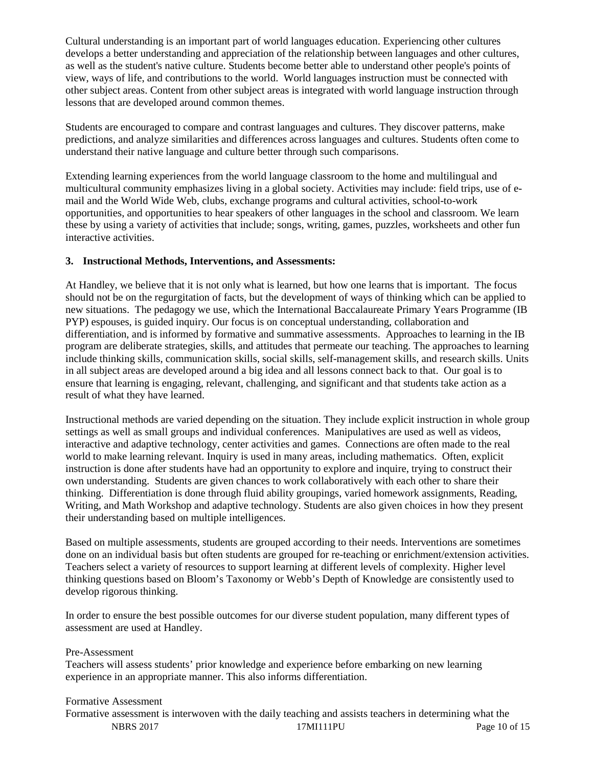Cultural understanding is an important part of world languages education. Experiencing other cultures develops a better understanding and appreciation of the relationship between languages and other cultures, as well as the student's native culture. Students become better able to understand other people's points of view, ways of life, and contributions to the world. World languages instruction must be connected with other subject areas. Content from other subject areas is integrated with world language instruction through lessons that are developed around common themes.

Students are encouraged to compare and contrast languages and cultures. They discover patterns, make predictions, and analyze similarities and differences across languages and cultures. Students often come to understand their native language and culture better through such comparisons.

Extending learning experiences from the world language classroom to the home and multilingual and multicultural community emphasizes living in a global society. Activities may include: field trips, use of email and the World Wide Web, clubs, exchange programs and cultural activities, school-to-work opportunities, and opportunities to hear speakers of other languages in the school and classroom. We learn these by using a variety of activities that include; songs, writing, games, puzzles, worksheets and other fun interactive activities.

# **3. Instructional Methods, Interventions, and Assessments:**

At Handley, we believe that it is not only what is learned, but how one learns that is important. The focus should not be on the regurgitation of facts, but the development of ways of thinking which can be applied to new situations. The pedagogy we use, which the International Baccalaureate Primary Years Programme (IB PYP) espouses, is guided inquiry. Our focus is on conceptual understanding, collaboration and differentiation, and is informed by formative and summative assessments. Approaches to learning in the IB program are deliberate strategies, skills, and attitudes that permeate our teaching. The approaches to learning include thinking skills, communication skills, social skills, self-management skills, and research skills. Units in all subject areas are developed around a big idea and all lessons connect back to that. Our goal is to ensure that learning is engaging, relevant, challenging, and significant and that students take action as a result of what they have learned.

Instructional methods are varied depending on the situation. They include explicit instruction in whole group settings as well as small groups and individual conferences. Manipulatives are used as well as videos, interactive and adaptive technology, center activities and games. Connections are often made to the real world to make learning relevant. Inquiry is used in many areas, including mathematics. Often, explicit instruction is done after students have had an opportunity to explore and inquire, trying to construct their own understanding. Students are given chances to work collaboratively with each other to share their thinking. Differentiation is done through fluid ability groupings, varied homework assignments, Reading, Writing, and Math Workshop and adaptive technology. Students are also given choices in how they present their understanding based on multiple intelligences.

Based on multiple assessments, students are grouped according to their needs. Interventions are sometimes done on an individual basis but often students are grouped for re-teaching or enrichment/extension activities. Teachers select a variety of resources to support learning at different levels of complexity. Higher level thinking questions based on Bloom's Taxonomy or Webb's Depth of Knowledge are consistently used to develop rigorous thinking.

In order to ensure the best possible outcomes for our diverse student population, many different types of assessment are used at Handley.

## Pre-Assessment

Teachers will assess students' prior knowledge and experience before embarking on new learning experience in an appropriate manner. This also informs differentiation.

## Formative Assessment

NBRS 2017 17MI111PU Page 10 of 15 Formative assessment is interwoven with the daily teaching and assists teachers in determining what the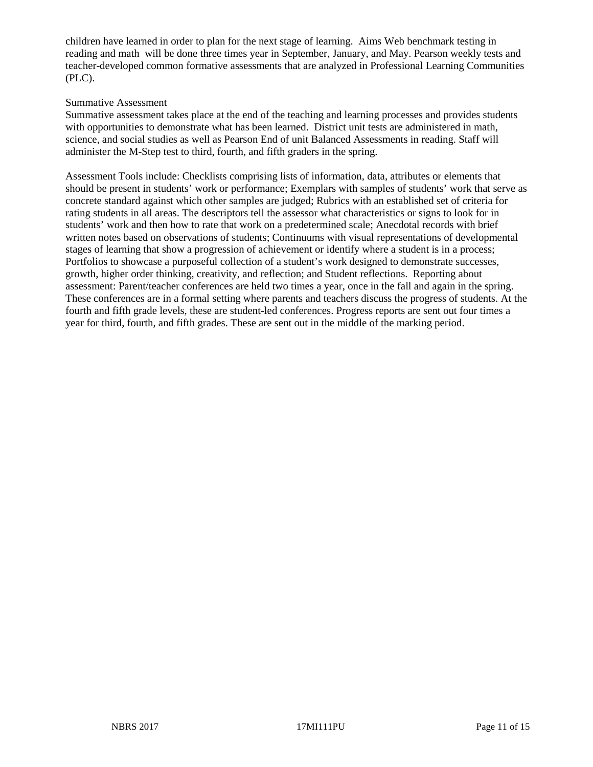children have learned in order to plan for the next stage of learning. Aims Web benchmark testing in reading and math will be done three times year in September, January, and May. Pearson weekly tests and teacher-developed common formative assessments that are analyzed in Professional Learning Communities (PLC).

#### Summative Assessment

Summative assessment takes place at the end of the teaching and learning processes and provides students with opportunities to demonstrate what has been learned. District unit tests are administered in math, science, and social studies as well as Pearson End of unit Balanced Assessments in reading. Staff will administer the M-Step test to third, fourth, and fifth graders in the spring.

Assessment Tools include: Checklists comprising lists of information, data, attributes or elements that should be present in students' work or performance; Exemplars with samples of students' work that serve as concrete standard against which other samples are judged; Rubrics with an established set of criteria for rating students in all areas. The descriptors tell the assessor what characteristics or signs to look for in students' work and then how to rate that work on a predetermined scale; Anecdotal records with brief written notes based on observations of students; Continuums with visual representations of developmental stages of learning that show a progression of achievement or identify where a student is in a process; Portfolios to showcase a purposeful collection of a student's work designed to demonstrate successes, growth, higher order thinking, creativity, and reflection; and Student reflections. Reporting about assessment: Parent/teacher conferences are held two times a year, once in the fall and again in the spring. These conferences are in a formal setting where parents and teachers discuss the progress of students. At the fourth and fifth grade levels, these are student-led conferences. Progress reports are sent out four times a year for third, fourth, and fifth grades. These are sent out in the middle of the marking period.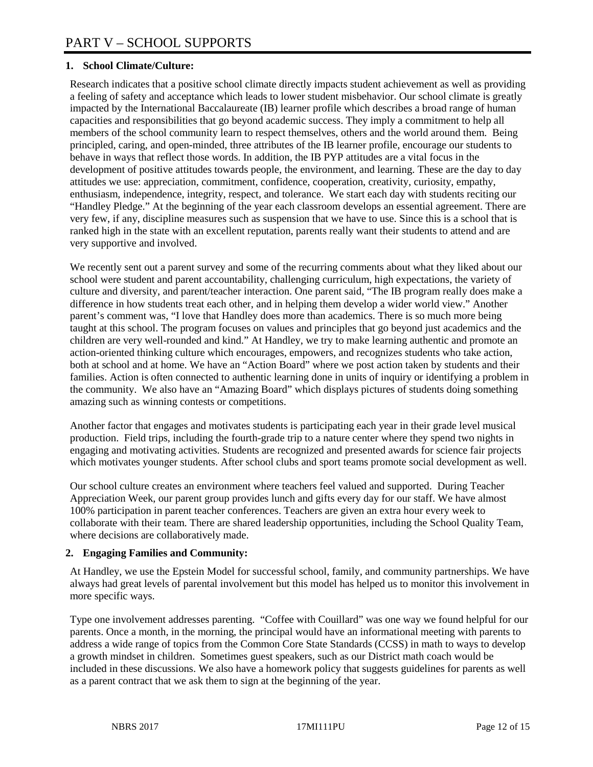# **1. School Climate/Culture:**

Research indicates that a positive school climate directly impacts student achievement as well as providing a feeling of safety and acceptance which leads to lower student misbehavior. Our school climate is greatly impacted by the International Baccalaureate (IB) learner profile which describes a broad range of human capacities and responsibilities that go beyond academic success. They imply a commitment to help all members of the school community learn to respect themselves, others and the world around them. Being principled, caring, and open-minded, three attributes of the IB learner profile, encourage our students to behave in ways that reflect those words. In addition, the IB PYP attitudes are a vital focus in the development of positive attitudes towards people, the environment, and learning. These are the day to day attitudes we use: appreciation, commitment, confidence, cooperation, creativity, curiosity, empathy, enthusiasm, independence, integrity, respect, and tolerance. We start each day with students reciting our "Handley Pledge." At the beginning of the year each classroom develops an essential agreement. There are very few, if any, discipline measures such as suspension that we have to use. Since this is a school that is ranked high in the state with an excellent reputation, parents really want their students to attend and are very supportive and involved.

We recently sent out a parent survey and some of the recurring comments about what they liked about our school were student and parent accountability, challenging curriculum, high expectations, the variety of culture and diversity, and parent/teacher interaction. One parent said, "The IB program really does make a difference in how students treat each other, and in helping them develop a wider world view." Another parent's comment was, "I love that Handley does more than academics. There is so much more being taught at this school. The program focuses on values and principles that go beyond just academics and the children are very well-rounded and kind." At Handley, we try to make learning authentic and promote an action-oriented thinking culture which encourages, empowers, and recognizes students who take action, both at school and at home. We have an "Action Board" where we post action taken by students and their families. Action is often connected to authentic learning done in units of inquiry or identifying a problem in the community. We also have an "Amazing Board" which displays pictures of students doing something amazing such as winning contests or competitions.

Another factor that engages and motivates students is participating each year in their grade level musical production. Field trips, including the fourth-grade trip to a nature center where they spend two nights in engaging and motivating activities. Students are recognized and presented awards for science fair projects which motivates younger students. After school clubs and sport teams promote social development as well.

Our school culture creates an environment where teachers feel valued and supported. During Teacher Appreciation Week, our parent group provides lunch and gifts every day for our staff. We have almost 100% participation in parent teacher conferences. Teachers are given an extra hour every week to collaborate with their team. There are shared leadership opportunities, including the School Quality Team, where decisions are collaboratively made.

# **2. Engaging Families and Community:**

At Handley, we use the Epstein Model for successful school, family, and community partnerships. We have always had great levels of parental involvement but this model has helped us to monitor this involvement in more specific ways.

Type one involvement addresses parenting. "Coffee with Couillard" was one way we found helpful for our parents. Once a month, in the morning, the principal would have an informational meeting with parents to address a wide range of topics from the Common Core State Standards (CCSS) in math to ways to develop a growth mindset in children. Sometimes guest speakers, such as our District math coach would be included in these discussions. We also have a homework policy that suggests guidelines for parents as well as a parent contract that we ask them to sign at the beginning of the year.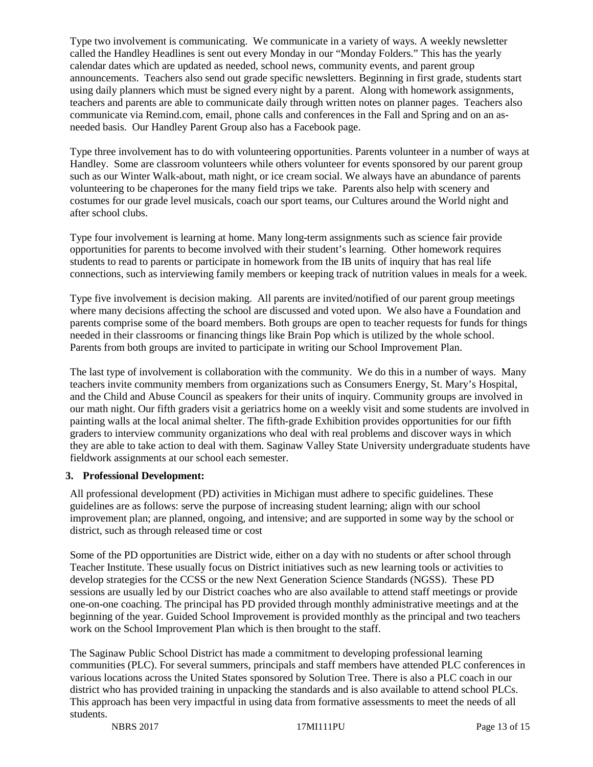Type two involvement is communicating. We communicate in a variety of ways. A weekly newsletter called the Handley Headlines is sent out every Monday in our "Monday Folders." This has the yearly calendar dates which are updated as needed, school news, community events, and parent group announcements. Teachers also send out grade specific newsletters. Beginning in first grade, students start using daily planners which must be signed every night by a parent. Along with homework assignments, teachers and parents are able to communicate daily through written notes on planner pages. Teachers also communicate via Remind.com, email, phone calls and conferences in the Fall and Spring and on an asneeded basis. Our Handley Parent Group also has a Facebook page.

Type three involvement has to do with volunteering opportunities. Parents volunteer in a number of ways at Handley. Some are classroom volunteers while others volunteer for events sponsored by our parent group such as our Winter Walk-about, math night, or ice cream social. We always have an abundance of parents volunteering to be chaperones for the many field trips we take. Parents also help with scenery and costumes for our grade level musicals, coach our sport teams, our Cultures around the World night and after school clubs.

Type four involvement is learning at home. Many long-term assignments such as science fair provide opportunities for parents to become involved with their student's learning. Other homework requires students to read to parents or participate in homework from the IB units of inquiry that has real life connections, such as interviewing family members or keeping track of nutrition values in meals for a week.

Type five involvement is decision making. All parents are invited/notified of our parent group meetings where many decisions affecting the school are discussed and voted upon. We also have a Foundation and parents comprise some of the board members. Both groups are open to teacher requests for funds for things needed in their classrooms or financing things like Brain Pop which is utilized by the whole school. Parents from both groups are invited to participate in writing our School Improvement Plan.

The last type of involvement is collaboration with the community. We do this in a number of ways. Many teachers invite community members from organizations such as Consumers Energy, St. Mary's Hospital, and the Child and Abuse Council as speakers for their units of inquiry. Community groups are involved in our math night. Our fifth graders visit a geriatrics home on a weekly visit and some students are involved in painting walls at the local animal shelter. The fifth-grade Exhibition provides opportunities for our fifth graders to interview community organizations who deal with real problems and discover ways in which they are able to take action to deal with them. Saginaw Valley State University undergraduate students have fieldwork assignments at our school each semester.

## **3. Professional Development:**

All professional development (PD) activities in Michigan must adhere to specific guidelines. These guidelines are as follows: serve the purpose of increasing student learning; align with our school improvement plan; are planned, ongoing, and intensive; and are supported in some way by the school or district, such as through released time or cost

Some of the PD opportunities are District wide, either on a day with no students or after school through Teacher Institute. These usually focus on District initiatives such as new learning tools or activities to develop strategies for the CCSS or the new Next Generation Science Standards (NGSS). These PD sessions are usually led by our District coaches who are also available to attend staff meetings or provide one-on-one coaching. The principal has PD provided through monthly administrative meetings and at the beginning of the year. Guided School Improvement is provided monthly as the principal and two teachers work on the School Improvement Plan which is then brought to the staff.

The Saginaw Public School District has made a commitment to developing professional learning communities (PLC). For several summers, principals and staff members have attended PLC conferences in various locations across the United States sponsored by Solution Tree. There is also a PLC coach in our district who has provided training in unpacking the standards and is also available to attend school PLCs. This approach has been very impactful in using data from formative assessments to meet the needs of all students.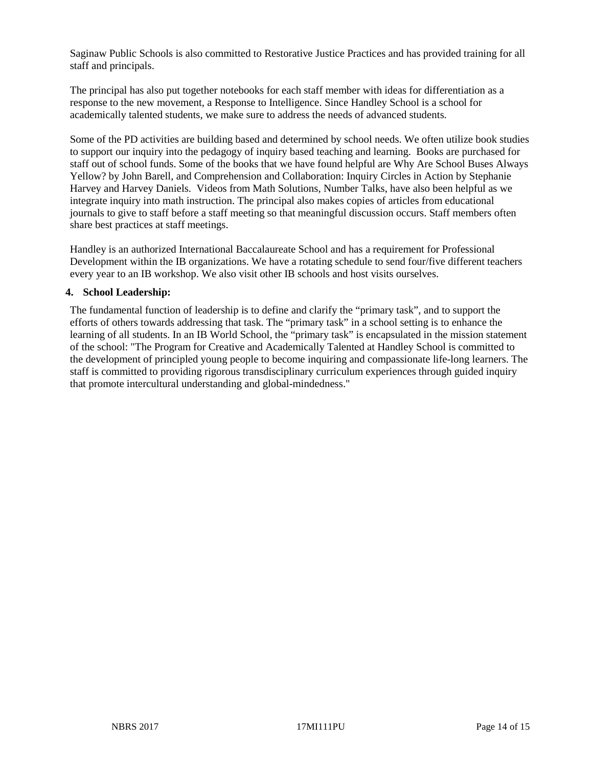Saginaw Public Schools is also committed to Restorative Justice Practices and has provided training for all staff and principals.

The principal has also put together notebooks for each staff member with ideas for differentiation as a response to the new movement, a Response to Intelligence. Since Handley School is a school for academically talented students, we make sure to address the needs of advanced students.

Some of the PD activities are building based and determined by school needs. We often utilize book studies to support our inquiry into the pedagogy of inquiry based teaching and learning. Books are purchased for staff out of school funds. Some of the books that we have found helpful are Why Are School Buses Always Yellow? by John Barell, and Comprehension and Collaboration: Inquiry Circles in Action by Stephanie Harvey and Harvey Daniels. Videos from Math Solutions, Number Talks, have also been helpful as we integrate inquiry into math instruction. The principal also makes copies of articles from educational journals to give to staff before a staff meeting so that meaningful discussion occurs. Staff members often share best practices at staff meetings.

Handley is an authorized International Baccalaureate School and has a requirement for Professional Development within the IB organizations. We have a rotating schedule to send four/five different teachers every year to an IB workshop. We also visit other IB schools and host visits ourselves.

## **4. School Leadership:**

The fundamental function of leadership is to define and clarify the "primary task", and to support the efforts of others towards addressing that task. The "primary task" in a school setting is to enhance the learning of all students. In an IB World School, the "primary task" is encapsulated in the mission statement of the school: "The Program for Creative and Academically Talented at Handley School is committed to the development of principled young people to become inquiring and compassionate life-long learners. The staff is committed to providing rigorous transdisciplinary curriculum experiences through guided inquiry that promote intercultural understanding and global-mindedness."